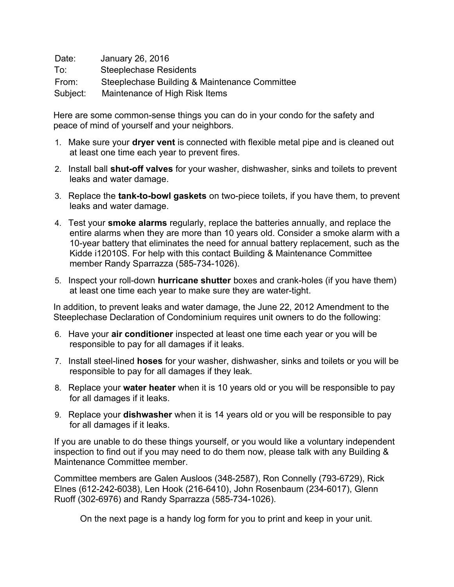Date: January 26, 2016 To: Steeplechase Residents From: Steeplechase Building & Maintenance Committee Subject: Maintenance of High Risk Items

Here are some common-sense things you can do in your condo for the safety and peace of mind of yourself and your neighbors.

- 1. Make sure your **dryer vent** is connected with flexible metal pipe and is cleaned out at least one time each year to prevent fires.
- 2. Install ball **shut-off valves** for your washer, dishwasher, sinks and toilets to prevent leaks and water damage.
- 3. Replace the **tank-to-bowl gaskets** on two-piece toilets, if you have them, to prevent leaks and water damage.
- 4. Test your **smoke alarms** regularly, replace the batteries annually, and replace the entire alarms when they are more than 10 years old. Consider a smoke alarm with a 10-year battery that eliminates the need for annual battery replacement, such as the Kidde i12010S. For help with this contact Building & Maintenance Committee member Randy Sparrazza (585-734-1026).
- 5. Inspect your roll-down **hurricane shutter** boxes and crank-holes (if you have them) at least one time each year to make sure they are water-tight.

In addition, to prevent leaks and water damage, the June 22, 2012 Amendment to the Steeplechase Declaration of Condominium requires unit owners to do the following:

- 6. Have your **air conditioner** inspected at least one time each year or you will be responsible to pay for all damages if it leaks.
- 7. Install steel-lined **hoses** for your washer, dishwasher, sinks and toilets or you will be responsible to pay for all damages if they leak.
- 8. Replace your **water heater** when it is 10 years old or you will be responsible to pay for all damages if it leaks.
- 9. Replace your **dishwasher** when it is 14 years old or you will be responsible to pay for all damages if it leaks.

If you are unable to do these things yourself, or you would like a voluntary independent inspection to find out if you may need to do them now, please talk with any Building & Maintenance Committee member.

Committee members are Galen Ausloos (348-2587), Ron Connelly (793-6729), Rick Elnes (612-242-6038), Len Hook (216-6410), John Rosenbaum (234-6017), Glenn Ruoff (302-6976) and Randy Sparrazza (585-734-1026).

On the next page is a handy log form for you to print and keep in your unit.